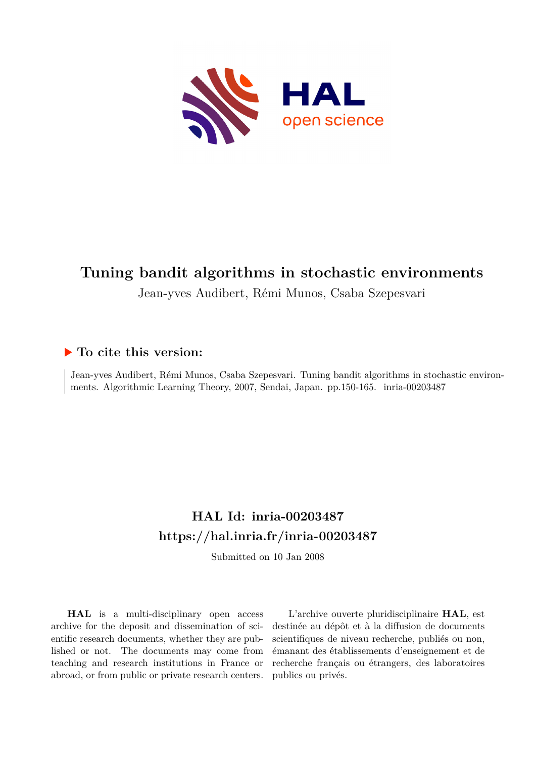

# **Tuning bandit algorithms in stochastic environments**

Jean-yves Audibert, Rémi Munos, Csaba Szepesvari

### **To cite this version:**

Jean-yves Audibert, Rémi Munos, Csaba Szepesvari. Tuning bandit algorithms in stochastic environments. Algorithmic Learning Theory, 2007, Sendai, Japan. pp.150-165. inria-00203487

# **HAL Id: inria-00203487 <https://hal.inria.fr/inria-00203487>**

Submitted on 10 Jan 2008

**HAL** is a multi-disciplinary open access archive for the deposit and dissemination of scientific research documents, whether they are published or not. The documents may come from teaching and research institutions in France or abroad, or from public or private research centers.

L'archive ouverte pluridisciplinaire **HAL**, est destinée au dépôt et à la diffusion de documents scientifiques de niveau recherche, publiés ou non, émanant des établissements d'enseignement et de recherche français ou étrangers, des laboratoires publics ou privés.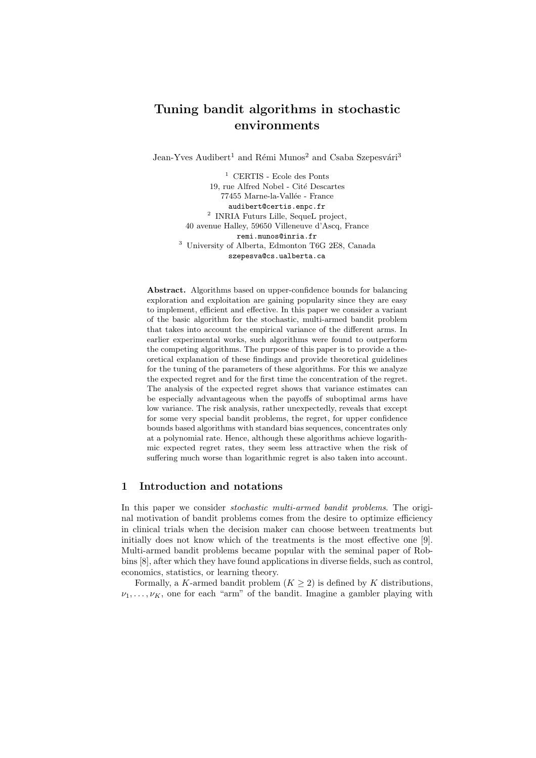## Tuning bandit algorithms in stochastic environments

Jean-Yves Audibert<sup>1</sup> and Rémi Munos<sup>2</sup> and Csaba Szepesvári<sup>3</sup>

 $^{\rm 1}$  CERTIS - Ecole des Ponts 19, rue Alfred Nobel - Cité Descartes 77455 Marne-la-Vallée - France audibert@certis.enpc.fr <sup>2</sup> INRIA Futurs Lille, SequeL project, 40 avenue Halley, 59650 Villeneuve d'Ascq, France remi.munos@inria.fr <sup>3</sup> University of Alberta, Edmonton T6G 2E8, Canada szepesva@cs.ualberta.ca

Abstract. Algorithms based on upper-confidence bounds for balancing exploration and exploitation are gaining popularity since they are easy to implement, efficient and effective. In this paper we consider a variant of the basic algorithm for the stochastic, multi-armed bandit problem that takes into account the empirical variance of the different arms. In earlier experimental works, such algorithms were found to outperform the competing algorithms. The purpose of this paper is to provide a theoretical explanation of these findings and provide theoretical guidelines for the tuning of the parameters of these algorithms. For this we analyze the expected regret and for the first time the concentration of the regret. The analysis of the expected regret shows that variance estimates can be especially advantageous when the payoffs of suboptimal arms have low variance. The risk analysis, rather unexpectedly, reveals that except for some very special bandit problems, the regret, for upper confidence bounds based algorithms with standard bias sequences, concentrates only at a polynomial rate. Hence, although these algorithms achieve logarithmic expected regret rates, they seem less attractive when the risk of suffering much worse than logarithmic regret is also taken into account.

#### 1 Introduction and notations

In this paper we consider stochastic multi-armed bandit problems. The original motivation of bandit problems comes from the desire to optimize efficiency in clinical trials when the decision maker can choose between treatments but initially does not know which of the treatments is the most effective one [9]. Multi-armed bandit problems became popular with the seminal paper of Robbins [8], after which they have found applications in diverse fields, such as control, economics, statistics, or learning theory.

Formally, a K-armed bandit problem  $(K \geq 2)$  is defined by K distributions,  $\nu_1, \ldots, \nu_K$ , one for each "arm" of the bandit. Imagine a gambler playing with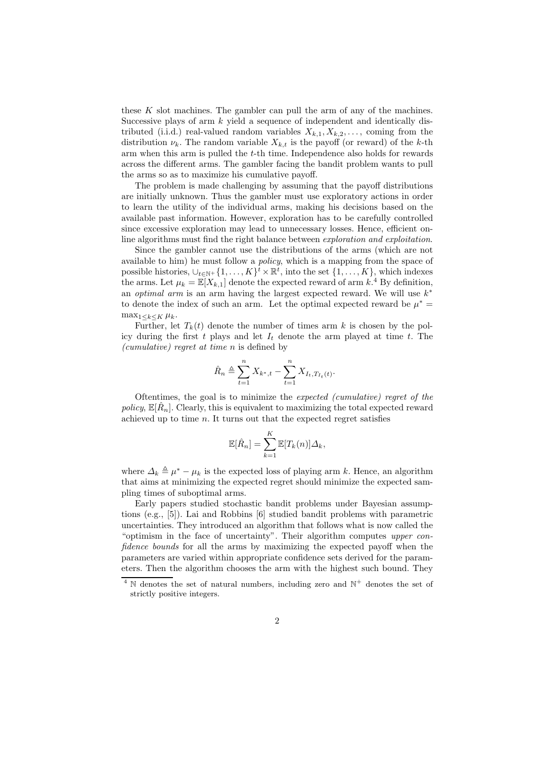these  $K$  slot machines. The gambler can pull the arm of any of the machines. Successive plays of arm  $k$  yield a sequence of independent and identically distributed (i.i.d.) real-valued random variables  $X_{k,1}, X_{k,2}, \ldots$ , coming from the distribution  $\nu_k$ . The random variable  $X_{k,t}$  is the payoff (or reward) of the k-th arm when this arm is pulled the t-th time. Independence also holds for rewards across the different arms. The gambler facing the bandit problem wants to pull the arms so as to maximize his cumulative payoff.

The problem is made challenging by assuming that the payoff distributions are initially unknown. Thus the gambler must use exploratory actions in order to learn the utility of the individual arms, making his decisions based on the available past information. However, exploration has to be carefully controlled since excessive exploration may lead to unnecessary losses. Hence, efficient online algorithms must find the right balance between exploration and exploitation.

Since the gambler cannot use the distributions of the arms (which are not available to him) he must follow a policy, which is a mapping from the space of possible histories,  $\cup_{t\in\mathbb{N}^+}{1,\ldots,K}^t\times\mathbb{R}^t$ , into the set  $\{1,\ldots,K\}$ , which indexes the arms. Let  $\mu_k = \mathbb{E}[X_{k,1}]$  denote the expected reward of arm  $k^2$ . By definition, an *optimal arm* is an arm having the largest expected reward. We will use  $k^*$ to denote the index of such an arm. Let the optimal expected reward be  $\mu^* =$  $\max_{1 \leq k \leq K} \mu_k$ .

Further, let  $T_k(t)$  denote the number of times arm k is chosen by the policy during the first  $t$  plays and let  $I_t$  denote the arm played at time  $t$ . The (cumulative) regret at time n is defined by

$$
\hat{R}_n \triangleq \sum_{t=1}^n X_{k^*,t} - \sum_{t=1}^n X_{I_t,T_{I_t}(t)}.
$$

Oftentimes, the goal is to minimize the expected (cumulative) regret of the  $policy, \mathbb{E}[\hat{R}_n]$ . Clearly, this is equivalent to maximizing the total expected reward achieved up to time  $n$ . It turns out that the expected regret satisfies

$$
\mathbb{E}[\hat{R}_n] = \sum_{k=1}^K \mathbb{E}[T_k(n)] \Delta_k,
$$

where  $\Delta_k \triangleq \mu^* - \mu_k$  is the expected loss of playing arm k. Hence, an algorithm that aims at minimizing the expected regret should minimize the expected sampling times of suboptimal arms.

Early papers studied stochastic bandit problems under Bayesian assumptions (e.g., [5]). Lai and Robbins [6] studied bandit problems with parametric uncertainties. They introduced an algorithm that follows what is now called the "optimism in the face of uncertainty". Their algorithm computes upper confidence bounds for all the arms by maximizing the expected payoff when the parameters are varied within appropriate confidence sets derived for the parameters. Then the algorithm chooses the arm with the highest such bound. They

 $4 N$  denotes the set of natural numbers, including zero and  $N^+$  denotes the set of strictly positive integers.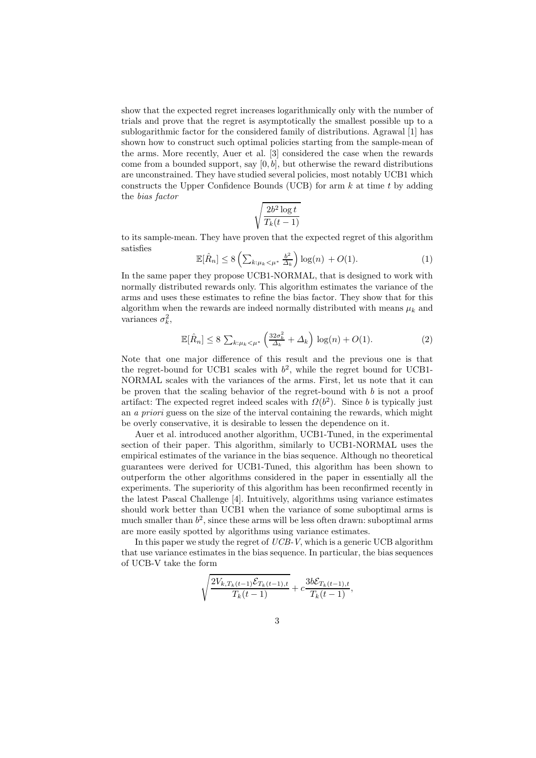show that the expected regret increases logarithmically only with the number of trials and prove that the regret is asymptotically the smallest possible up to a sublogarithmic factor for the considered family of distributions. Agrawal [1] has shown how to construct such optimal policies starting from the sample-mean of the arms. More recently, Auer et al. [3] considered the case when the rewards come from a bounded support, say  $[0, b]$ , but otherwise the reward distributions are unconstrained. They have studied several policies, most notably UCB1 which constructs the Upper Confidence Bounds (UCB) for arm  $k$  at time  $t$  by adding the bias factor

$$
\sqrt{\frac{2b^2\log t}{T_k(t-1)}}
$$

to its sample-mean. They have proven that the expected regret of this algorithm satisfies

$$
\mathbb{E}[\hat{R}_n] \le 8\left(\sum_{k:\mu_k < \mu^*} \frac{b^2}{\Delta_k}\right) \log(n) + O(1). \tag{1}
$$

In the same paper they propose UCB1-NORMAL, that is designed to work with normally distributed rewards only. This algorithm estimates the variance of the arms and uses these estimates to refine the bias factor. They show that for this algorithm when the rewards are indeed normally distributed with means  $\mu_k$  and variances  $\sigma_k^2$ ,

$$
\mathbb{E}[\hat{R}_n] \le 8 \sum_{k:\mu_k < \mu^*} \left(\frac{32\sigma_k^2}{\Delta_k} + \Delta_k\right) \log(n) + O(1). \tag{2}
$$

Note that one major difference of this result and the previous one is that the regret-bound for UCB1 scales with  $b^2$ , while the regret bound for UCB1-NORMAL scales with the variances of the arms. First, let us note that it can be proven that the scaling behavior of the regret-bound with  $b$  is not a proof artifact: The expected regret indeed scales with  $\Omega(b^2)$ . Since b is typically just an a priori guess on the size of the interval containing the rewards, which might be overly conservative, it is desirable to lessen the dependence on it.

Auer et al. introduced another algorithm, UCB1-Tuned, in the experimental section of their paper. This algorithm, similarly to UCB1-NORMAL uses the empirical estimates of the variance in the bias sequence. Although no theoretical guarantees were derived for UCB1-Tuned, this algorithm has been shown to outperform the other algorithms considered in the paper in essentially all the experiments. The superiority of this algorithm has been reconfirmed recently in the latest Pascal Challenge [4]. Intuitively, algorithms using variance estimates should work better than UCB1 when the variance of some suboptimal arms is much smaller than  $b^2$ , since these arms will be less often drawn: suboptimal arms are more easily spotted by algorithms using variance estimates.

In this paper we study the regret of UCB-V, which is a generic UCB algorithm that use variance estimates in the bias sequence. In particular, the bias sequences of UCB-V take the form

$$
\sqrt{\frac{2V_{k,T_k(t-1)}\mathcal{E}_{T_k(t-1),t}}{T_k(t-1)}} + c \frac{3b\mathcal{E}_{T_k(t-1),t}}{T_k(t-1)},
$$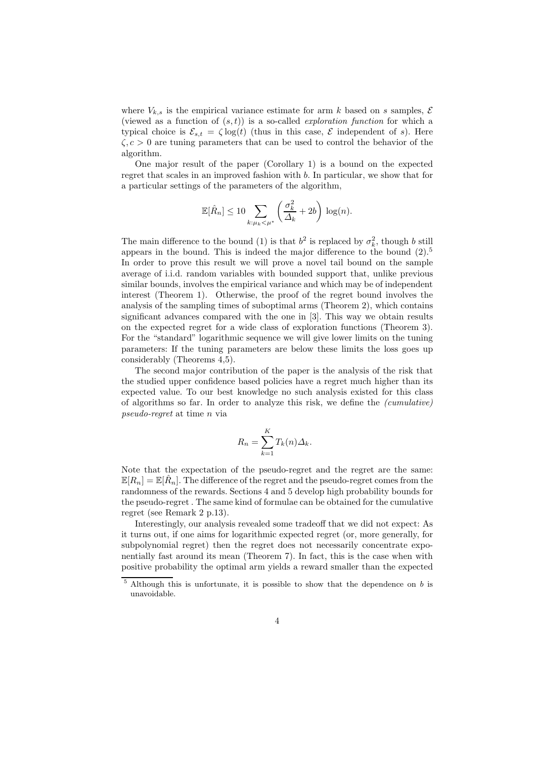where  $V_{k,s}$  is the empirical variance estimate for arm k based on s samples,  $\mathcal E$ (viewed as a function of  $(s, t)$ ) is a so-called *exploration function* for which a typical choice is  $\mathcal{E}_{s,t} = \zeta \log(t)$  (thus in this case,  $\mathcal E$  independent of s). Here  $\zeta, c > 0$  are tuning parameters that can be used to control the behavior of the algorithm.

One major result of the paper (Corollary 1) is a bound on the expected regret that scales in an improved fashion with b. In particular, we show that for a particular settings of the parameters of the algorithm,

$$
\mathbb{E}[\hat{R}_n] \le 10 \sum_{k:\mu_k < \mu^*} \left(\frac{\sigma_k^2}{\Delta_k} + 2b\right) \log(n).
$$

The main difference to the bound (1) is that  $b^2$  is replaced by  $\sigma_k^2$ , though b still appears in the bound. This is indeed the major difference to the bound  $(2)$ .<sup>5</sup> In order to prove this result we will prove a novel tail bound on the sample average of i.i.d. random variables with bounded support that, unlike previous similar bounds, involves the empirical variance and which may be of independent interest (Theorem 1). Otherwise, the proof of the regret bound involves the analysis of the sampling times of suboptimal arms (Theorem 2), which contains significant advances compared with the one in [3]. This way we obtain results on the expected regret for a wide class of exploration functions (Theorem 3). For the "standard" logarithmic sequence we will give lower limits on the tuning parameters: If the tuning parameters are below these limits the loss goes up considerably (Theorems 4,5).

The second major contribution of the paper is the analysis of the risk that the studied upper confidence based policies have a regret much higher than its expected value. To our best knowledge no such analysis existed for this class of algorithms so far. In order to analyze this risk, we define the (cumulative) pseudo-regret at time n via

$$
R_n = \sum_{k=1}^K T_k(n) \Delta_k.
$$

Note that the expectation of the pseudo-regret and the regret are the same:  $\mathbb{E}[R_n]=\mathbb{E}[\hat{R}_n].$  The difference of the regret and the pseudo-regret comes from the randomness of the rewards. Sections 4 and 5 develop high probability bounds for the pseudo-regret . The same kind of formulae can be obtained for the cumulative regret (see Remark 2 p.13).

Interestingly, our analysis revealed some tradeoff that we did not expect: As it turns out, if one aims for logarithmic expected regret (or, more generally, for subpolynomial regret) then the regret does not necessarily concentrate exponentially fast around its mean (Theorem 7). In fact, this is the case when with positive probability the optimal arm yields a reward smaller than the expected

 $5$  Although this is unfortunate, it is possible to show that the dependence on  $b$  is unavoidable.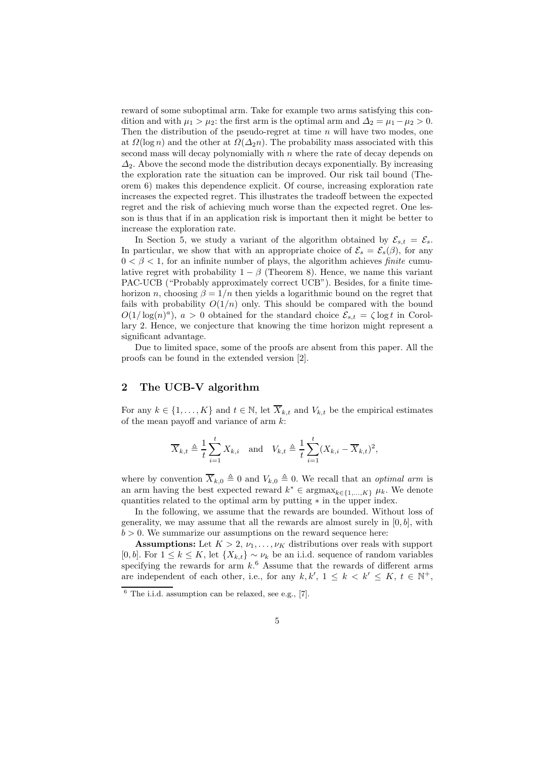reward of some suboptimal arm. Take for example two arms satisfying this condition and with  $\mu_1 > \mu_2$ : the first arm is the optimal arm and  $\Delta_2 = \mu_1 - \mu_2 > 0$ . Then the distribution of the pseudo-regret at time  $n$  will have two modes, one at  $\Omega(\log n)$  and the other at  $\Omega(\Delta_2 n)$ . The probability mass associated with this second mass will decay polynomially with  $n$  where the rate of decay depends on  $\Delta_2$ . Above the second mode the distribution decays exponentially. By increasing the exploration rate the situation can be improved. Our risk tail bound (Theorem 6) makes this dependence explicit. Of course, increasing exploration rate increases the expected regret. This illustrates the tradeoff between the expected regret and the risk of achieving much worse than the expected regret. One lesson is thus that if in an application risk is important then it might be better to increase the exploration rate.

In Section 5, we study a variant of the algorithm obtained by  $\mathcal{E}_{s,t} = \mathcal{E}_s$ . In particular, we show that with an appropriate choice of  $\mathcal{E}_s = \mathcal{E}_s(\beta)$ , for any  $0 < \beta < 1$ , for an infinite number of plays, the algorithm achieves *finite* cumulative regret with probability  $1 - \beta$  (Theorem 8). Hence, we name this variant PAC-UCB ("Probably approximately correct UCB"). Besides, for a finite timehorizon n, choosing  $\beta = 1/n$  then yields a logarithmic bound on the regret that fails with probability  $O(1/n)$  only. This should be compared with the bound  $O(1/\log(n)^a)$ ,  $a > 0$  obtained for the standard choice  $\mathcal{E}_{s,t} = \zeta \log t$  in Corollary 2. Hence, we conjecture that knowing the time horizon might represent a significant advantage.

Due to limited space, some of the proofs are absent from this paper. All the proofs can be found in the extended version [2].

#### 2 The UCB-V algorithm

For any  $k \in \{1, ..., K\}$  and  $t \in \mathbb{N}$ , let  $\overline{X}_{k,t}$  and  $V_{k,t}$  be the empirical estimates of the mean payoff and variance of arm k:

$$
\overline{X}_{k,t} \triangleq \frac{1}{t} \sum_{i=1}^{t} X_{k,i} \quad \text{and} \quad V_{k,t} \triangleq \frac{1}{t} \sum_{i=1}^{t} (X_{k,i} - \overline{X}_{k,t})^2,
$$

where by convention  $\overline{X}_{k,0} \triangleq 0$  and  $V_{k,0} \triangleq 0$ . We recall that an *optimal arm* is an arm having the best expected reward  $k^* \in \text{argmax}_{k \in \{1,\dots,K\}} \mu_k$ . We denote quantities related to the optimal arm by putting ∗ in the upper index.

In the following, we assume that the rewards are bounded. Without loss of generality, we may assume that all the rewards are almost surely in  $[0, b]$ , with  $b > 0$ . We summarize our assumptions on the reward sequence here:

**Assumptions:** Let  $K > 2$ ,  $\nu_1, \ldots, \nu_K$  distributions over reals with support [0, b]. For  $1 \leq k \leq K$ , let  $\{X_{k,t}\}\sim \nu_k$  be an i.i.d. sequence of random variables specifying the rewards for arm  $k$ <sup>6</sup>. Assume that the rewards of different arms are independent of each other, i.e., for any  $k, k', 1 \leq k < k' \leq K, t \in \mathbb{N}^+,$ 

 $\overline{6}$  The i.i.d. assumption can be relaxed, see e.g., [7].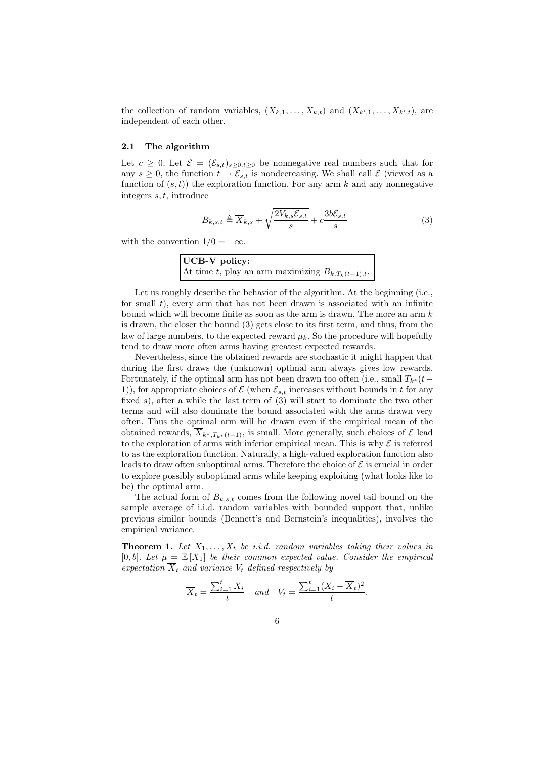the collection of random variables,  $(X_{k,1},...,X_{k,t})$  and  $(X_{k',1},...,X_{k',t})$ , are independent of each other.

#### 2.1 The algorithm

Let  $c \geq 0$ . Let  $\mathcal{E} = (\mathcal{E}_{s,t})_{s>0,t>0}$  be nonnegative real numbers such that for any  $s \geq 0$ , the function  $t \mapsto \mathcal{E}_{s,t}$  is nondecreasing. We shall call  $\mathcal{E}$  (viewed as a function of  $(s, t)$  the exploration function. For any arm k and any nonnegative integers s, t, introduce

$$
B_{k,s,t} \triangleq \overline{X}_{k,s} + \sqrt{\frac{2V_{k,s}\mathcal{E}_{s,t}}{s}} + c\frac{3b\mathcal{E}_{s,t}}{s}
$$
 (3)

with the convention  $1/0 = +\infty$ .

UCB-V policy: At time t, play an arm maximizing  $B_{k,T_k(t-1),t}$ .

Let us roughly describe the behavior of the algorithm. At the beginning (i.e., for small  $t$ ), every arm that has not been drawn is associated with an infinite bound which will become finite as soon as the arm is drawn. The more an arm  $k$ is drawn, the closer the bound (3) gets close to its first term, and thus, from the law of large numbers, to the expected reward  $\mu_k$ . So the procedure will hopefully tend to draw more often arms having greatest expected rewards.

Nevertheless, since the obtained rewards are stochastic it might happen that during the first draws the (unknown) optimal arm always gives low rewards. Fortunately, if the optimal arm has not been drawn too often (i.e., small  $T_{k^*}(t-$ 1), for appropriate choices of  $\mathcal E$  (when  $\mathcal E_{s,t}$  increases without bounds in t for any fixed s), after a while the last term of  $(3)$  will start to dominate the two other terms and will also dominate the bound associated with the arms drawn very often. Thus the optimal arm will be drawn even if the empirical mean of the obtained rewards,  $\overline{X}_{k^*,T_{k^*}(t-1)}$ , is small. More generally, such choices of  $\mathcal E$  lead to the exploration of arms with inferior empirical mean. This is why  $\mathcal E$  is referred to as the exploration function. Naturally, a high-valued exploration function also leads to draw often suboptimal arms. Therefore the choice of  $\mathcal E$  is crucial in order to explore possibly suboptimal arms while keeping exploiting (what looks like to be) the optimal arm.

The actual form of  $B_{k,s,t}$  comes from the following novel tail bound on the sample average of i.i.d. random variables with bounded support that, unlike previous similar bounds (Bennett's and Bernstein's inequalities), involves the empirical variance.

**Theorem 1.** Let  $X_1, \ldots, X_t$  be i.i.d. random variables taking their values in [0, b]. Let  $\mu = \mathbb{E}[X_1]$  be their common expected value. Consider the empirical expectation  $\overline{X}_t$  and variance  $V_t$  defined respectively by

$$
\overline{X}_t = \frac{\sum_{i=1}^t X_i}{t} \quad \text{and} \quad V_t = \frac{\sum_{i=1}^t (X_i - \overline{X}_t)^2}{t}.
$$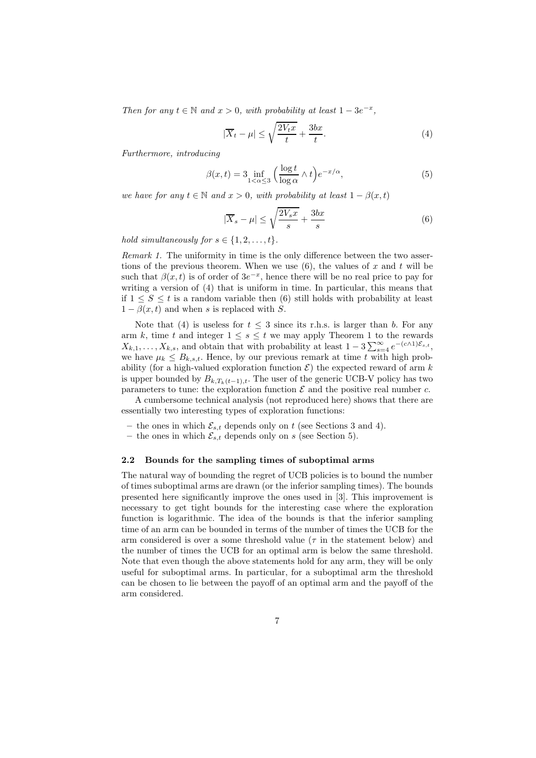Then for any  $t \in \mathbb{N}$  and  $x > 0$ , with probability at least  $1 - 3e^{-x}$ ,

$$
|\overline{X}_t - \mu| \le \sqrt{\frac{2V_t x}{t}} + \frac{3bx}{t}.\tag{4}
$$

Furthermore, introducing

$$
\beta(x,t) = 3 \inf_{1 < \alpha \le 3} \left( \frac{\log t}{\log \alpha} \wedge t \right) e^{-x/\alpha},\tag{5}
$$

we have for any  $t \in \mathbb{N}$  and  $x > 0$ , with probability at least  $1 - \beta(x, t)$ 

$$
|\overline{X}_s - \mu| \le \sqrt{\frac{2V_s x}{s}} + \frac{3bx}{s} \tag{6}
$$

hold simultaneously for  $s \in \{1, 2, \ldots, t\}$ .

Remark 1. The uniformity in time is the only difference between the two assertions of the previous theorem. When we use  $(6)$ , the values of x and t will be such that  $\beta(x,t)$  is of order of  $3e^{-x}$ , hence there will be no real price to pay for writing a version of (4) that is uniform in time. In particular, this means that if  $1 \leq S \leq t$  is a random variable then (6) still holds with probability at least  $1 - \beta(x, t)$  and when s is replaced with S.

Note that (4) is useless for  $t \leq 3$  since its r.h.s. is larger than b. For any arm k, time t and integer  $1 \leq s \leq t$  we may apply Theorem 1 to the rewards  $X_{k,1}, \ldots, X_{k,s}$ , and obtain that with probability at least  $1 - 3 \sum_{s=4}^{\infty} e^{-(c \wedge 1)\mathcal{E}_{s,t}}$ , we have  $\mu_k \leq B_{k,s,t}$ . Hence, by our previous remark at time t with high probability (for a high-valued exploration function  $\mathcal{E}$ ) the expected reward of arm k is upper bounded by  $B_{k,T_k(t-1),t}$ . The user of the generic UCB-V policy has two parameters to tune: the exploration function  $\mathcal E$  and the positive real number c.

A cumbersome technical analysis (not reproduced here) shows that there are essentially two interesting types of exploration functions:

- the ones in which  $\mathcal{E}_{s,t}$  depends only on t (see Sections 3 and 4).
- the ones in which  $\mathcal{E}_{s,t}$  depends only on s (see Section 5).

#### 2.2 Bounds for the sampling times of suboptimal arms

The natural way of bounding the regret of UCB policies is to bound the number of times suboptimal arms are drawn (or the inferior sampling times). The bounds presented here significantly improve the ones used in [3]. This improvement is necessary to get tight bounds for the interesting case where the exploration function is logarithmic. The idea of the bounds is that the inferior sampling time of an arm can be bounded in terms of the number of times the UCB for the arm considered is over a some threshold value ( $\tau$  in the statement below) and the number of times the UCB for an optimal arm is below the same threshold. Note that even though the above statements hold for any arm, they will be only useful for suboptimal arms. In particular, for a suboptimal arm the threshold can be chosen to lie between the payoff of an optimal arm and the payoff of the arm considered.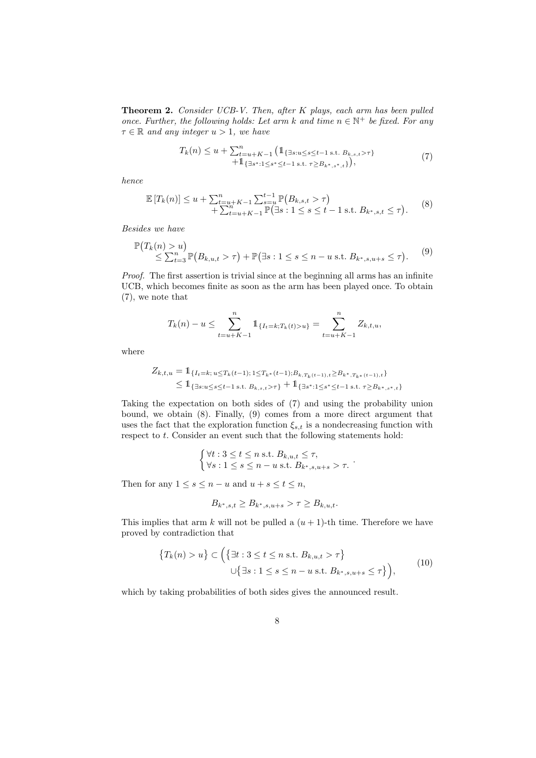Theorem 2. Consider UCB-V. Then, after K plays, each arm has been pulled once. Further, the following holds: Let arm k and time  $n \in \mathbb{N}^+$  be fixed. For any  $\tau \in \mathbb{R}$  and any integer  $u > 1$ , we have

$$
T_k(n) \le u + \sum_{t=u+K-1}^n \left( 1_{\{\exists s: u \le s \le t-1 \text{ s.t. } B_{k,s,t} > \tau\}} + 1_{\{\exists s^*: 1 \le s^* \le t-1 \text{ s.t. } \tau \ge B_{k^*,s^*,t}\}}\right),\tag{7}
$$

hence

$$
\mathbb{E}\left[T_k(n)\right] \leq u + \sum_{t=u+K-1}^{n} \sum_{s=u}^{t-1} \mathbb{P}\left(B_{k,s,t} > \tau\right) + \sum_{t=u+K-1}^{n} \mathbb{P}\left(\exists s : 1 \leq s \leq t-1 \text{ s.t. } B_{k^*,s,t} \leq \tau\right).
$$
\n(8)

Besides we have

$$
\mathbb{P}(T_k(n) > u) \le \sum_{t=3}^n \mathbb{P}(B_{k,u,t} > \tau) + \mathbb{P}(\exists s : 1 \le s \le n - u \text{ s.t. } B_{k^*,s,u+s} \le \tau). \tag{9}
$$

Proof. The first assertion is trivial since at the beginning all arms has an infinite UCB, which becomes finite as soon as the arm has been played once. To obtain (7), we note that

$$
T_k(n) - u \le \sum_{t=u+K-1}^n \mathbb{1}_{\{I_t=k; T_k(t)>u\}} = \sum_{t=u+K-1}^n Z_{k,t,u},
$$

where

$$
Z_{k,t,u} = \mathbb{1}_{\{I_t = k; u \le T_k(t-1); 1 \le T_{k^*}(t-1); B_{k,T_k(t-1),t} \ge B_{k^*,T_{k^*}(t-1),t}\}}
$$
  
\$\le \mathbb{1}\_{\{\exists s: u \le s \le t-1 \text{ s.t. } B\_{k,s,t} > \tau\}} + \mathbb{1}\_{\{\exists s^\*: 1 \le s^\* \le t-1 \text{ s.t. } \tau \ge B\_{k^\*,s^\*,t}\}}

Taking the expectation on both sides of (7) and using the probability union bound, we obtain (8). Finally, (9) comes from a more direct argument that uses the fact that the exploration function  $\xi_{s,t}$  is a nondecreasing function with respect to  $t$ . Consider an event such that the following statements hold:

$$
\begin{cases} \forall t: 3 \leq t \leq n \text{ s.t. } B_{k,u,t} \leq \tau, \\ \forall s: 1 \leq s \leq n-u \text{ s.t. } B_{k^*,s,u+s} > \tau. \end{cases}
$$

Then for any  $1 \leq s \leq n - u$  and  $u + s \leq t \leq n$ ,

$$
B_{k^*,s,t} \ge B_{k^*,s,u+s} > \tau \ge B_{k,u,t}.
$$

This implies that arm k will not be pulled a  $(u + 1)$ -th time. Therefore we have proved by contradiction that

$$
\{T_k(n) > u\} \subset \left(\{\exists t : 3 \le t \le n \text{ s.t. } B_{k,u,t} > \tau\}\right)
$$
  

$$
\cup \{\exists s : 1 \le s \le n - u \text{ s.t. } B_{k^*,s,u+s} \le \tau\}\right),
$$
  
(10)

which by taking probabilities of both sides gives the announced result.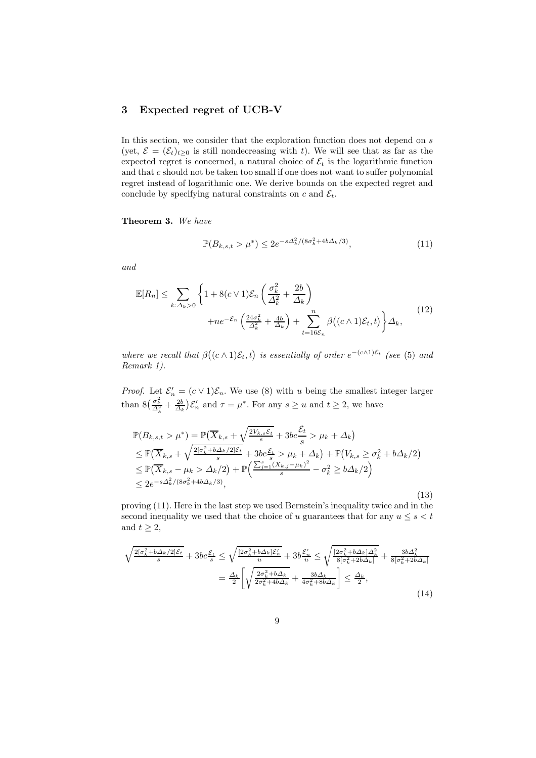#### 3 Expected regret of UCB-V

In this section, we consider that the exploration function does not depend on s (yet,  $\mathcal{E} = (\mathcal{E}_t)_{t>0}$  is still nondecreasing with t). We will see that as far as the expected regret is concerned, a natural choice of  $\mathcal{E}_t$  is the logarithmic function and that  $c$  should not be taken too small if one does not want to suffer polynomial regret instead of logarithmic one. We derive bounds on the expected regret and conclude by specifying natural constraints on c and  $\mathcal{E}_t$ .

Theorem 3. We have

$$
\mathbb{P}(B_{k,s,t} > \mu^*) \le 2e^{-s\Delta_k^2/(8\sigma_k^2 + 4b\Delta_k/3)},\tag{11}
$$

and

$$
\mathbb{E}[R_n] \leq \sum_{k:\Delta_k>0} \left\{ 1 + 8(c \vee 1)\mathcal{E}_n \left( \frac{\sigma_k^2}{\Delta_k^2} + \frac{2b}{\Delta_k} \right) + ne^{-\mathcal{E}_n} \left( \frac{24\sigma_k^2}{\Delta_k^2} + \frac{4b}{\Delta_k} \right) + \sum_{t=16\mathcal{E}_n}^{n} \beta\big((c \wedge 1)\mathcal{E}_t, t\big) \right\} \Delta_k,
$$
\n(12)

where we recall that  $\beta((c \wedge 1)\mathcal{E}_t, t)$  is essentially of order  $e^{-(c \wedge 1)\mathcal{E}_t}$  (see (5) and Remark 1).

*Proof.* Let  $\mathcal{E}'_n = (c \vee 1)\mathcal{E}_n$ . We use (8) with u being the smallest integer larger than  $8\left(\frac{\sigma_k^2}{\Delta_k^2} + \frac{2b}{\Delta_k}\right)\mathcal{E}_n'$  and  $\tau = \mu^*$ . For any  $s \ge u$  and  $t \ge 2$ , we have

$$
\mathbb{P}(B_{k,s,t} > \mu^*) = \mathbb{P}(\overline{X}_{k,s} + \sqrt{\frac{2V_{k,s}\mathcal{E}_t}{s}} + 3bc\frac{\mathcal{E}_t}{s} > \mu_k + \Delta_k)
$$
\n
$$
\leq \mathbb{P}(\overline{X}_{k,s} + \sqrt{\frac{2[\sigma_k^2 + b\Delta_k/2]\mathcal{E}_t}{s}} + 3bc\frac{\mathcal{E}_t}{s} > \mu_k + \Delta_k) + \mathbb{P}(V_{k,s} \geq \sigma_k^2 + b\Delta_k/2)
$$
\n
$$
\leq \mathbb{P}(\overline{X}_{k,s} - \mu_k > \Delta_k/2) + \mathbb{P}\left(\frac{\sum_{j=1}^s (X_{k,j} - \mu_k)^2}{s} - \sigma_k^2 \geq b\Delta_k/2\right)
$$
\n
$$
\leq 2e^{-s\Delta_k^2/(8\sigma_k^2 + 4b\Delta_k/3)},
$$
\n(13)

proving (11). Here in the last step we used Bernstein's inequality twice and in the second inequality we used that the choice of u guarantees that for any  $u \leq s < t$ and  $t > 2$ ,

$$
\sqrt{\frac{2[\sigma_k^2 + b\Delta_k/2]\mathcal{E}_t}{s}} + 3bc\frac{\mathcal{E}_t}{s} \le \sqrt{\frac{[2\sigma_k^2 + b\Delta_k]\mathcal{E}'_n}{u}} + 3b\frac{\mathcal{E}'_n}{u} \le \sqrt{\frac{[2\sigma_k^2 + b\Delta_k]\Delta_k^2}{8[\sigma_k^2 + 2b\Delta_k]}} + \frac{3b\Delta_k^2}{8[\sigma_k^2 + 2b\Delta_k]}}{\sqrt{\frac{2\sigma_k^2 + b\Delta_k}{2\sigma_k^2 + 4b\Delta_k}} + \frac{3b\Delta_k}{4\sigma_k^2 + 8b\Delta_k}} \le \frac{\Delta_k}{2},\tag{14}
$$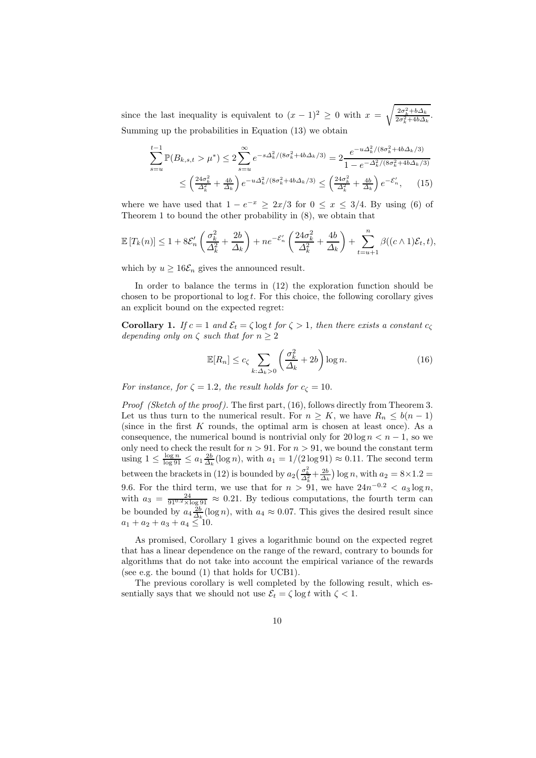since the last inequality is equivalent to  $(x-1)^2 \geq 0$  with  $x = \sqrt{\frac{2\sigma_k^2 + b\Delta_k}{2\sigma_k^2 + 4b\Delta_k}}$ . Summing up the probabilities in Equation (13) we obtain

$$
\sum_{s=u}^{t-1} \mathbb{P}(B_{k,s,t} > \mu^*) \le 2 \sum_{s=u}^{\infty} e^{-s\Delta_k^2/(8\sigma_k^2 + 4b\Delta_k/3)} = 2 \frac{e^{-u\Delta_k^2/(8\sigma_k^2 + 4b\Delta_k/3)}}{1 - e^{-\Delta_k^2/(8\sigma_k^2 + 4b\Delta_k/3)}} \le \left(\frac{24\sigma_k^2}{\Delta_k^2} + \frac{4b}{\Delta_k}\right) e^{-u\Delta_k^2/(8\sigma_k^2 + 4b\Delta_k/3)} \le \left(\frac{24\sigma_k^2}{\Delta_k^2} + \frac{4b}{\Delta_k}\right) e^{-\mathcal{E}'_n}, \quad (15)
$$

where we have used that  $1 - e^{-x} \geq 2x/3$  for  $0 \leq x \leq 3/4$ . By using (6) of Theorem 1 to bound the other probability in (8), we obtain that

$$
\mathbb{E}\left[T_k(n)\right] \leq 1 + 8\mathcal{E}'_n\left(\frac{\sigma_k^2}{\Delta_k^2} + \frac{2b}{\Delta_k}\right) + n e^{-\mathcal{E}'_n}\left(\frac{24\sigma_k^2}{\Delta_k^2} + \frac{4b}{\Delta_k}\right) + \sum_{t=u+1}^n \beta((c \wedge 1)\mathcal{E}_t, t),
$$

which by  $u \geq 16\mathcal{E}_n$  gives the announced result.

In order to balance the terms in (12) the exploration function should be chosen to be proportional to  $\log t$ . For this choice, the following corollary gives an explicit bound on the expected regret:

**Corollary 1.** If  $c = 1$  and  $\mathcal{E}_t = \zeta \log t$  for  $\zeta > 1$ , then there exists a constant  $c_{\zeta}$ depending only on  $\zeta$  such that for  $n \geq 2$ 

$$
\mathbb{E}[R_n] \le c_\zeta \sum_{k:\Delta_k > 0} \left(\frac{\sigma_k^2}{\Delta_k} + 2b\right) \log n. \tag{16}
$$

For instance, for  $\zeta = 1.2$ , the result holds for  $c_{\zeta} = 10$ .

Proof (Sketch of the proof). The first part, (16), follows directly from Theorem 3. Let us thus turn to the numerical result. For  $n \geq K$ , we have  $R_n \leq b(n-1)$ (since in the first K rounds, the optimal arm is chosen at least once). As a consequence, the numerical bound is nontrivial only for  $20 \log n < n - 1$ , so we only need to check the result for  $n > 91$ . For  $n > 91$ , we bound the constant term using  $1 \le \frac{\log n}{\log 91} \le a_1 \frac{2b}{\Delta_k} (\log n)$ , with  $a_1 = 1/(2 \log 91) \approx 0.11$ . The second term between the brackets in (12) is bounded by  $a_2\left(\frac{\sigma_k^2}{\Delta_k^2} + \frac{2b}{\Delta_k}\right) \log n$ , with  $a_2 = 8 \times 1.2 =$ 9.6. For the third term, we use that for  $n > 91$ , we have  $24n^{-0.2} < a_3 \log n$ , with  $a_3 = \frac{24}{91^{0.2} \times \log 91} \approx 0.21$ . By tedious computations, the fourth term can be bounded by  $a_4 \frac{2b}{\Delta_k} (\log n)$ , with  $a_4 \approx 0.07$ . This gives the desired result since  $a_1 + a_2 + a_3 + a_4 \leq 10$ .

As promised, Corollary 1 gives a logarithmic bound on the expected regret that has a linear dependence on the range of the reward, contrary to bounds for algorithms that do not take into account the empirical variance of the rewards (see e.g. the bound (1) that holds for UCB1).

The previous corollary is well completed by the following result, which essentially says that we should not use  $\mathcal{E}_t = \zeta \log t$  with  $\zeta < 1$ .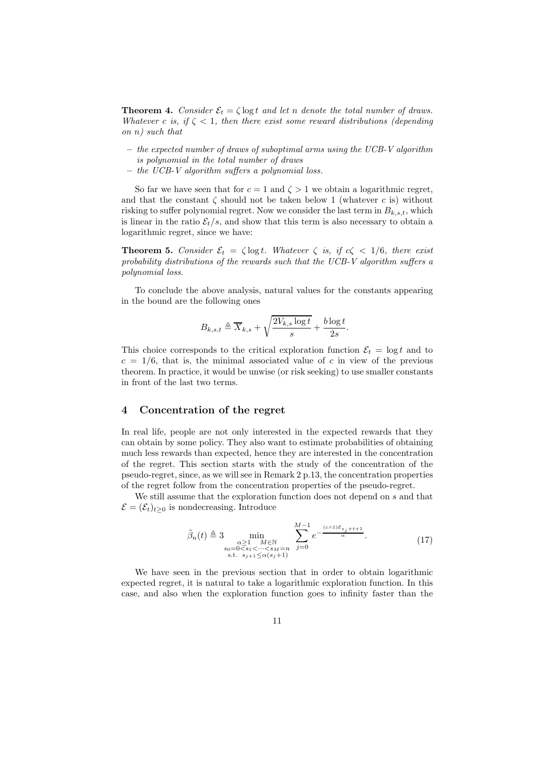**Theorem 4.** Consider  $\mathcal{E}_t = \zeta \log t$  and let n denote the total number of draws. Whatever c is, if  $\zeta$  < 1, then there exist some reward distributions (depending on n) such that

- the expected number of draws of suboptimal arms using the UCB-V algorithm is polynomial in the total number of draws
- the UCB-V algorithm suffers a polynomial loss.

So far we have seen that for  $c = 1$  and  $\zeta > 1$  we obtain a logarithmic regret, and that the constant  $\zeta$  should not be taken below 1 (whatever c is) without risking to suffer polynomial regret. Now we consider the last term in  $B_{k,s,t}$ , which is linear in the ratio  $\mathcal{E}_t/s$ , and show that this term is also necessary to obtain a logarithmic regret, since we have:

**Theorem 5.** Consider  $\mathcal{E}_t = \zeta \log t$ . Whatever  $\zeta$  is, if  $c\zeta < 1/6$ , there exist probability distributions of the rewards such that the UCB-V algorithm suffers a polynomial loss.

To conclude the above analysis, natural values for the constants appearing in the bound are the following ones

$$
B_{k,s,t} \triangleq \overline{X}_{k,s} + \sqrt{\frac{2V_{k,s}\log t}{s}} + \frac{b\log t}{2s}.
$$

This choice corresponds to the critical exploration function  $\mathcal{E}_t = \log t$  and to  $c = 1/6$ , that is, the minimal associated value of c in view of the previous theorem. In practice, it would be unwise (or risk seeking) to use smaller constants in front of the last two terms.

#### 4 Concentration of the regret

In real life, people are not only interested in the expected rewards that they can obtain by some policy. They also want to estimate probabilities of obtaining much less rewards than expected, hence they are interested in the concentration of the regret. This section starts with the study of the concentration of the pseudo-regret, since, as we will see in Remark 2 p.13, the concentration properties of the regret follow from the concentration properties of the pseudo-regret.

We still assume that the exploration function does not depend on s and that  $\mathcal{E} = (\mathcal{E}_t)_{t \geq 0}$  is nondecreasing. Introduce

$$
\tilde{\beta}_n(t) \triangleq 3 \min_{\substack{\alpha \geq 1 \\ s_0 = 0 < s_1 < \dots < s_M = n \\ \text{s.t. } s_{j+1} \leq \alpha(s_j+1)}} \sum_{j=0}^{M-1} e^{-\frac{(c \wedge 1) \mathcal{E}_{s_j+t+1}}{\alpha}}.
$$
\n
$$
(17)
$$

We have seen in the previous section that in order to obtain logarithmic expected regret, it is natural to take a logarithmic exploration function. In this case, and also when the exploration function goes to infinity faster than the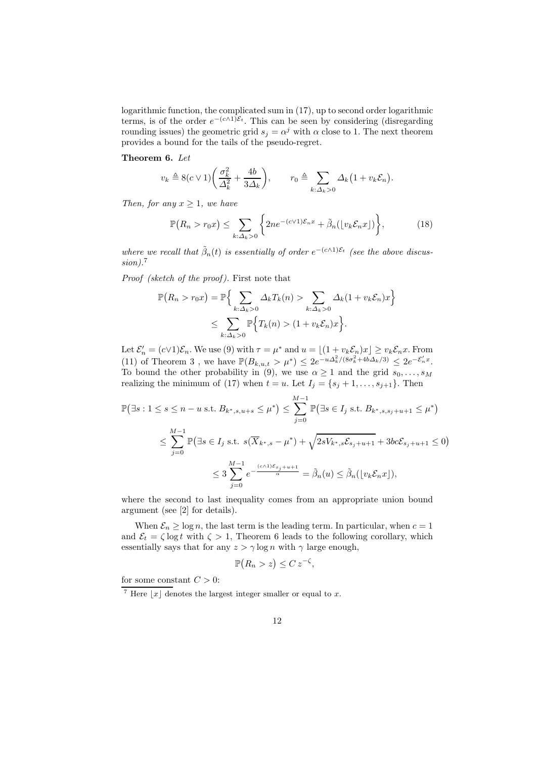logarithmic function, the complicated sum in (17), up to second order logarithmic terms, is of the order  $e^{-(c\wedge 1)\mathcal{E}_t}$ . This can be seen by considering (disregarding rounding issues) the geometric grid  $s_j = \alpha^j$  with  $\alpha$  close to 1. The next theorem provides a bound for the tails of the pseudo-regret.

Theorem 6. Let

$$
v_k \triangleq 8(c \vee 1) \bigg( \frac{\sigma_k^2}{\Delta_k^2} + \frac{4b}{3\Delta_k} \bigg), \qquad r_0 \triangleq \sum_{k:\Delta_k > 0} \Delta_k \big( 1 + v_k \mathcal{E}_n \big).
$$

Then, for any  $x \geq 1$ , we have

$$
\mathbb{P}\big(R_n > r_0 x\big) \le \sum_{k:\Delta_k > 0} \bigg\{ 2n e^{-(c \vee 1)\mathcal{E}_n x} + \tilde{\beta}_n(\lfloor v_k \mathcal{E}_n x \rfloor) \bigg\},\tag{18}
$$

where we recall that  $\tilde{\beta}_n(t)$  is essentially of order  $e^{-(c\wedge 1)\mathcal{E}_t}$  (see the above discus $sion$ ).<sup>7</sup>

*Proof (sketch of the proof)*. First note that

$$
\mathbb{P}(R_n > r_0 x) = \mathbb{P}\Big\{\sum_{k:\Delta_k>0} \Delta_k T_k(n) > \sum_{k:\Delta_k>0} \Delta_k (1 + v_k \mathcal{E}_n) x\Big\}
$$
  

$$
\leq \sum_{k:\Delta_k>0} \mathbb{P}\Big\{T_k(n) > (1 + v_k \mathcal{E}_n) x\Big\}.
$$

Let  $\mathcal{E}'_n = (c \vee 1)\mathcal{E}_n$ . We use (9) with  $\tau = \mu^*$  and  $u = \lfloor (1 + v_k \mathcal{E}_n)x \rfloor \ge v_k \mathcal{E}_n x$ . From (11) of Theorem 3, we have  $\mathbb{P}(B_{k,u,t} > \mu^*) \leq 2e^{-u\Delta_k^2/(8\sigma_k^2 + 4b\Delta_k/3)} \leq 2e^{-\mathcal{E}'_n x}$ . To bound the other probability in (9), we use  $\alpha \geq 1$  and the grid  $s_0, \ldots, s_M$ realizing the minimum of (17) when  $t = u$ . Let  $I_j = \{s_j + 1, \ldots, s_{j+1}\}$ . Then

$$
\mathbb{P}(\exists s: 1 \le s \le n - u \text{ s.t. } B_{k^*,s,u+s} \le \mu^*) \le \sum_{j=0}^{M-1} \mathbb{P}(\exists s \in I_j \text{ s.t. } B_{k^*,s,s,j+u+1} \le \mu^*)
$$
  

$$
\le \sum_{j=0}^{M-1} \mathbb{P}(\exists s \in I_j \text{ s.t. } s(\overline{X}_{k^*,s} - \mu^*) + \sqrt{2sV_{k^*,s}\mathcal{E}_{s,j+u+1}} + 3bc\mathcal{E}_{s,j+u+1} \le 0)
$$
  

$$
\le 3\sum_{j=0}^{M-1} e^{-\frac{(c \wedge 1)\mathcal{E}_{s,j+u+1}}{\alpha}} = \tilde{\beta}_n(u) \le \tilde{\beta}_n(\lfloor v_k \mathcal{E}_n x \rfloor),
$$

where the second to last inequality comes from an appropriate union bound argument (see [2] for details).

When  $\mathcal{E}_n \geq \log n$ , the last term is the leading term. In particular, when  $c = 1$ and  $\mathcal{E}_t = \zeta \log t$  with  $\zeta > 1$ , Theorem 6 leads to the following corollary, which essentially says that for any  $z > \gamma \log n$  with  $\gamma$  large enough,

$$
\mathbb{P}\big(R_n > z\big) \leq C\,z^{-\zeta},
$$

for some constant  $C > 0$ :

<sup>7</sup> Here  $|x|$  denotes the largest integer smaller or equal to x.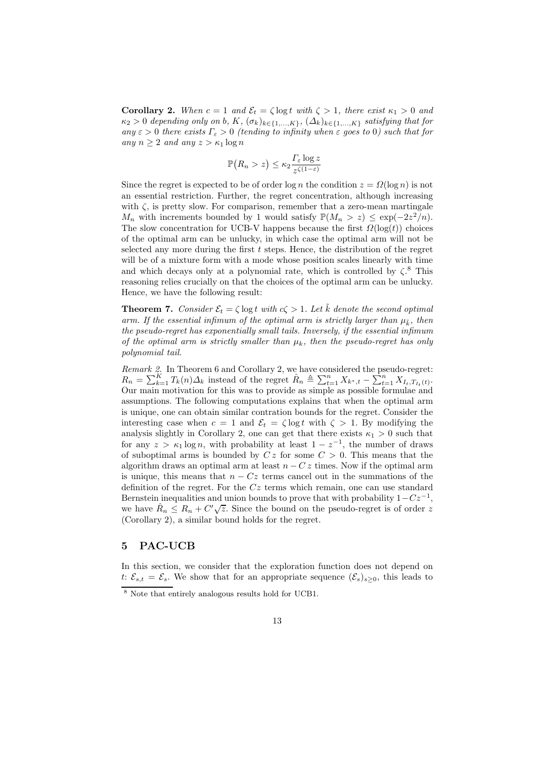Corollary 2. When  $c = 1$  and  $\mathcal{E}_t = \zeta \log t$  with  $\zeta > 1$ , there exist  $\kappa_1 > 0$  and  $\kappa_2 > 0$  depending only on b, K,  $(\sigma_k)_{k \in \{1,\dots,K\}}$ ,  $(\Delta_k)_{k \in \{1,\dots,K\}}$  satisfying that for any  $\varepsilon > 0$  there exists  $\Gamma_{\varepsilon} > 0$  (tending to infinity when  $\varepsilon$  goes to 0) such that for any  $n \geq 2$  and any  $z > \kappa_1 \log n$ 

$$
\mathbb{P}\big(R_n > z\big) \le \kappa_2 \frac{\Gamma_\varepsilon \log z}{z^{\zeta(1-\varepsilon)}}
$$

Since the regret is expected to be of order log n the condition  $z = \Omega(\log n)$  is not an essential restriction. Further, the regret concentration, although increasing with  $\zeta$ , is pretty slow. For comparison, remember that a zero-mean martingale  $M_n$  with increments bounded by 1 would satisfy  $\mathbb{P}(M_n > z) \leq \exp(-2z^2/n)$ . The slow concentration for UCB-V happens because the first  $\Omega(\log(t))$  choices of the optimal arm can be unlucky, in which case the optimal arm will not be selected any more during the first  $t$  steps. Hence, the distribution of the regret will be of a mixture form with a mode whose position scales linearly with time and which decays only at a polynomial rate, which is controlled by  $\zeta$ <sup>8</sup>. This reasoning relies crucially on that the choices of the optimal arm can be unlucky. Hence, we have the following result:

**Theorem 7.** Consider  $\mathcal{E}_t = \zeta \log t$  with  $c\zeta > 1$ . Let  $\tilde{k}$  denote the second optimal arm. If the essential infimum of the optimal arm is strictly larger than  $\mu_{\tilde{k}}$ , then the pseudo-regret has exponentially small tails. Inversely, if the essential infimum of the optimal arm is strictly smaller than  $\mu_k$ , then the pseudo-regret has only polynomial tail.

Remark 2. In Theorem 6 and Corollary 2, we have considered the pseudo-regret:  $R_n = \sum_{k=1}^K T_k(n) \Delta_k$  instead of the regret  $\hat{R}_n \triangleq \sum_{t=1}^n X_{k^*,t} - \sum_{t=1}^n X_{I_t,T_{I_t}(t)}$ . Our main motivation for this was to provide as simple as possible formulae and assumptions. The following computations explains that when the optimal arm is unique, one can obtain similar contration bounds for the regret. Consider the interesting case when  $c = 1$  and  $\mathcal{E}_t = \zeta \log t$  with  $\zeta > 1$ . By modifying the analysis slightly in Corollary 2, one can get that there exists  $\kappa_1 > 0$  such that for any  $z > \kappa_1 \log n$ , with probability at least  $1 - z^{-1}$ , the number of draws of suboptimal arms is bounded by  $C z$  for some  $C > 0$ . This means that the algorithm draws an optimal arm at least  $n - C z$  times. Now if the optimal arm is unique, this means that  $n - Cz$  terms cancel out in the summations of the definition of the regret. For the  $Cz$  terms which remain, one can use standard Bernstein inequalities and union bounds to prove that with probability  $1-Cz^{-1}$ , we have  $\hat{R}_n \leq R_n + C'\sqrt{z}$ . Since the bound on the pseudo-regret is of order z (Corollary 2), a similar bound holds for the regret.

#### 5 PAC-UCB

In this section, we consider that the exploration function does not depend on t:  $\mathcal{E}_{s,t} = \mathcal{E}_s$ . We show that for an appropriate sequence  $(\mathcal{E}_s)_{s>0}$ , this leads to

<sup>8</sup> Note that entirely analogous results hold for UCB1.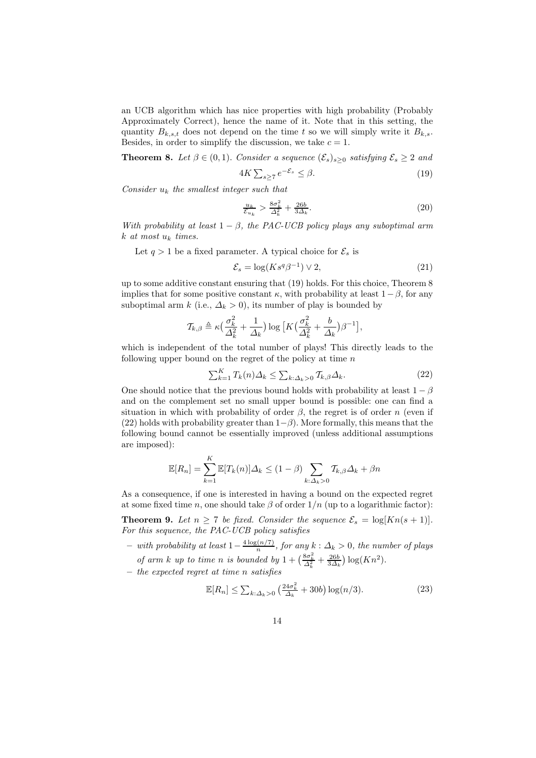an UCB algorithm which has nice properties with high probability (Probably Approximately Correct), hence the name of it. Note that in this setting, the quantity  $B_{k,s,t}$  does not depend on the time t so we will simply write it  $B_{k,s}$ . Besides, in order to simplify the discussion, we take  $c = 1$ .

**Theorem 8.** Let  $\beta \in (0,1)$ . Consider a sequence  $(\mathcal{E}_s)_{s\geq 0}$  satisfying  $\mathcal{E}_s \geq 2$  and

$$
4K\sum_{s\geq 7}e^{-\mathcal{E}_s}\leq \beta.\tag{19}
$$

Consider  $u_k$  the smallest integer such that

$$
\frac{u_k}{\mathcal{E}_{u_k}} > \frac{8\sigma_k^2}{\Delta_k^2} + \frac{26b}{3\Delta_k}.\tag{20}
$$

With probability at least  $1 - \beta$ , the PAC-UCB policy plays any suboptimal arm k at most  $u_k$  times.

Let  $q > 1$  be a fixed parameter. A typical choice for  $\mathcal{E}_s$  is

$$
\mathcal{E}_s = \log(Ks^q\beta^{-1}) \vee 2,\tag{21}
$$

up to some additive constant ensuring that (19) holds. For this choice, Theorem 8 implies that for some positive constant  $\kappa$ , with probability at least  $1-\beta$ , for any suboptimal arm k (i.e.,  $\Delta_k > 0$ ), its number of play is bounded by

$$
\mathcal{T}_{k,\beta} \triangleq \kappa \left( \frac{\sigma_k^2}{\Delta_k^2} + \frac{1}{\Delta_k} \right) \log \left[ K \left( \frac{\sigma_k^2}{\Delta_k^2} + \frac{b}{\Delta_k} \right) \beta^{-1} \right],
$$

which is independent of the total number of plays! This directly leads to the following upper bound on the regret of the policy at time  $n$ 

$$
\sum_{k=1}^{K} T_k(n) \Delta_k \le \sum_{k: \Delta_k > 0} \mathcal{T}_{k, \beta} \Delta_k. \tag{22}
$$

One should notice that the previous bound holds with probability at least  $1 - \beta$ and on the complement set no small upper bound is possible: one can find a situation in which with probability of order  $\beta$ , the regret is of order n (even if (22) holds with probability greater than  $1-\beta$ ). More formally, this means that the following bound cannot be essentially improved (unless additional assumptions are imposed):

$$
\mathbb{E}[R_n] = \sum_{k=1}^{K} \mathbb{E}[T_k(n)]\Delta_k \le (1-\beta) \sum_{k:\Delta_k > 0} T_{k,\beta}\Delta_k + \beta n
$$

As a consequence, if one is interested in having a bound on the expected regret at some fixed time n, one should take  $\beta$  of order  $1/n$  (up to a logarithmic factor):

**Theorem 9.** Let  $n \ge 7$  be fixed. Consider the sequence  $\mathcal{E}_s = \log[Kn(s+1)].$ For this sequence, the PAC-UCB policy satisfies

- $-$  with probability at least  $1-\frac{4\log(n/7)}{n}$  $\frac{n!}{n}$ , for any  $k: \Delta_k > 0$ , the number of plays of arm k up to time n is bounded by  $1 + \left(\frac{8\sigma_k^2}{\Delta_k^2} + \frac{26b}{3\Delta_k}\right) \log(Kn^2)$ .
- the expected regret at time n satisfies

$$
\mathbb{E}[R_n] \le \sum_{k:\Delta_k>0} \left(\frac{24\sigma_k^2}{\Delta_k} + 30b\right) \log(n/3). \tag{23}
$$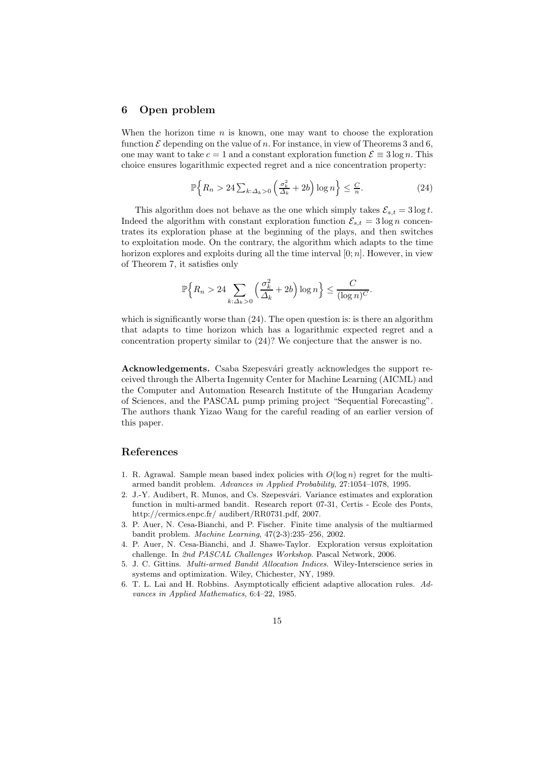#### 6 Open problem

When the horizon time  $n$  is known, one may want to choose the exploration function  $\mathcal E$  depending on the value of n. For instance, in view of Theorems 3 and 6, one may want to take  $c = 1$  and a constant exploration function  $\mathcal{E} \equiv 3 \log n$ . This choice ensures logarithmic expected regret and a nice concentration property:

$$
\mathbb{P}\Big\{R_n > 24\sum_{k:\Delta_k>0}\left(\frac{\sigma_k^2}{\Delta_k} + 2b\right)\log n\Big\} \le \frac{C}{n}.\tag{24}
$$

.

This algorithm does not behave as the one which simply takes  $\mathcal{E}_{s,t} = 3 \log t$ . Indeed the algorithm with constant exploration function  $\mathcal{E}_{s,t} = 3 \log n$  concentrates its exploration phase at the beginning of the plays, and then switches to exploitation mode. On the contrary, the algorithm which adapts to the time horizon explores and exploits during all the time interval  $[0; n]$ . However, in view of Theorem 7, it satisfies only

$$
\mathbb{P}\Big\{R_n > 24 \sum_{k:\Delta_k > 0} \left(\frac{\sigma_k^2}{\Delta_k} + 2b\right) \log n\Big\} \le \frac{C}{(\log n)^C}
$$

which is significantly worse than  $(24)$ . The open question is: is there an algorithm that adapts to time horizon which has a logarithmic expected regret and a concentration property similar to (24)? We conjecture that the answer is no.

Acknowledgements. Csaba Szepesvári greatly acknowledges the support received through the Alberta Ingenuity Center for Machine Learning (AICML) and the Computer and Automation Research Institute of the Hungarian Academy of Sciences, and the PASCAL pump priming project "Sequential Forecasting". The authors thank Yizao Wang for the careful reading of an earlier version of this paper.

#### References

- 1. R. Agrawal. Sample mean based index policies with  $O(\log n)$  regret for the multiarmed bandit problem. Advances in Applied Probability, 27:1054–1078, 1995.
- 2. J.-Y. Audibert, R. Munos, and Cs. Szepesvári. Variance estimates and exploration function in multi-armed bandit. Research report 07-31, Certis - Ecole des Ponts, http://cermics.enpc.fr/ audibert/RR0731.pdf, 2007.
- 3. P. Auer, N. Cesa-Bianchi, and P. Fischer. Finite time analysis of the multiarmed bandit problem. Machine Learning, 47(2-3):235–256, 2002.
- 4. P. Auer, N. Cesa-Bianchi, and J. Shawe-Taylor. Exploration versus exploitation challenge. In 2nd PASCAL Challenges Workshop. Pascal Network, 2006.
- 5. J. C. Gittins. Multi-armed Bandit Allocation Indices. Wiley-Interscience series in systems and optimization. Wiley, Chichester, NY, 1989.
- 6. T. L. Lai and H. Robbins. Asymptotically efficient adaptive allocation rules. Advances in Applied Mathematics, 6:4–22, 1985.